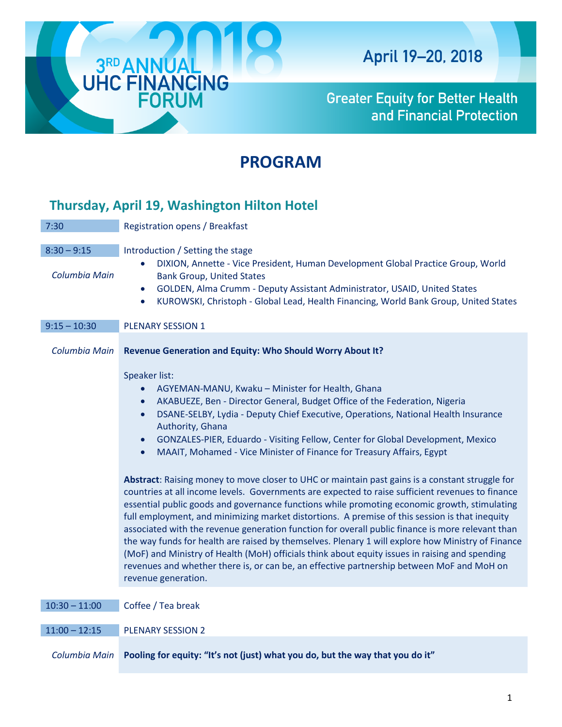

**Greater Equity for Better Health** and Financial Protection

# **PROGRAM**

# **Thursday, April 19, Washington Hilton Hotel**

| 7:30                           | Registration opens / Breakfast                                                                                                                                                                                                                                                                                                                                                                                                                                                                                                                                                                                                                                                                                                                                                                                                                                                                                                                                                                                                                                                                                                                                                                                                                                                                       |
|--------------------------------|------------------------------------------------------------------------------------------------------------------------------------------------------------------------------------------------------------------------------------------------------------------------------------------------------------------------------------------------------------------------------------------------------------------------------------------------------------------------------------------------------------------------------------------------------------------------------------------------------------------------------------------------------------------------------------------------------------------------------------------------------------------------------------------------------------------------------------------------------------------------------------------------------------------------------------------------------------------------------------------------------------------------------------------------------------------------------------------------------------------------------------------------------------------------------------------------------------------------------------------------------------------------------------------------------|
| $8:30 - 9:15$<br>Columbia Main | Introduction / Setting the stage<br>DIXION, Annette - Vice President, Human Development Global Practice Group, World<br>$\bullet$<br><b>Bank Group, United States</b><br>GOLDEN, Alma Crumm - Deputy Assistant Administrator, USAID, United States<br>$\bullet$<br>KUROWSKI, Christoph - Global Lead, Health Financing, World Bank Group, United States<br>$\bullet$                                                                                                                                                                                                                                                                                                                                                                                                                                                                                                                                                                                                                                                                                                                                                                                                                                                                                                                                 |
| $9:15 - 10:30$                 | <b>PLENARY SESSION 1</b>                                                                                                                                                                                                                                                                                                                                                                                                                                                                                                                                                                                                                                                                                                                                                                                                                                                                                                                                                                                                                                                                                                                                                                                                                                                                             |
| Columbia Main                  | Revenue Generation and Equity: Who Should Worry About It?                                                                                                                                                                                                                                                                                                                                                                                                                                                                                                                                                                                                                                                                                                                                                                                                                                                                                                                                                                                                                                                                                                                                                                                                                                            |
|                                | Speaker list:<br>AGYEMAN-MANU, Kwaku - Minister for Health, Ghana<br>AKABUEZE, Ben - Director General, Budget Office of the Federation, Nigeria<br>$\bullet$<br>DSANE-SELBY, Lydia - Deputy Chief Executive, Operations, National Health Insurance<br>$\bullet$<br>Authority, Ghana<br>GONZALES-PIER, Eduardo - Visiting Fellow, Center for Global Development, Mexico<br>$\bullet$<br>MAAIT, Mohamed - Vice Minister of Finance for Treasury Affairs, Egypt<br>Abstract: Raising money to move closer to UHC or maintain past gains is a constant struggle for<br>countries at all income levels. Governments are expected to raise sufficient revenues to finance<br>essential public goods and governance functions while promoting economic growth, stimulating<br>full employment, and minimizing market distortions. A premise of this session is that inequity<br>associated with the revenue generation function for overall public finance is more relevant than<br>the way funds for health are raised by themselves. Plenary 1 will explore how Ministry of Finance<br>(MoF) and Ministry of Health (MoH) officials think about equity issues in raising and spending<br>revenues and whether there is, or can be, an effective partnership between MoF and MoH on<br>revenue generation. |
| $10:30 - 11:00$                | Coffee / Tea break                                                                                                                                                                                                                                                                                                                                                                                                                                                                                                                                                                                                                                                                                                                                                                                                                                                                                                                                                                                                                                                                                                                                                                                                                                                                                   |
| $11:00 - 12:15$                | <b>PLENARY SESSION 2</b>                                                                                                                                                                                                                                                                                                                                                                                                                                                                                                                                                                                                                                                                                                                                                                                                                                                                                                                                                                                                                                                                                                                                                                                                                                                                             |
|                                |                                                                                                                                                                                                                                                                                                                                                                                                                                                                                                                                                                                                                                                                                                                                                                                                                                                                                                                                                                                                                                                                                                                                                                                                                                                                                                      |

*Columbia Main* **Pooling for equity: "It's not (just) what you do, but the way that you do it"**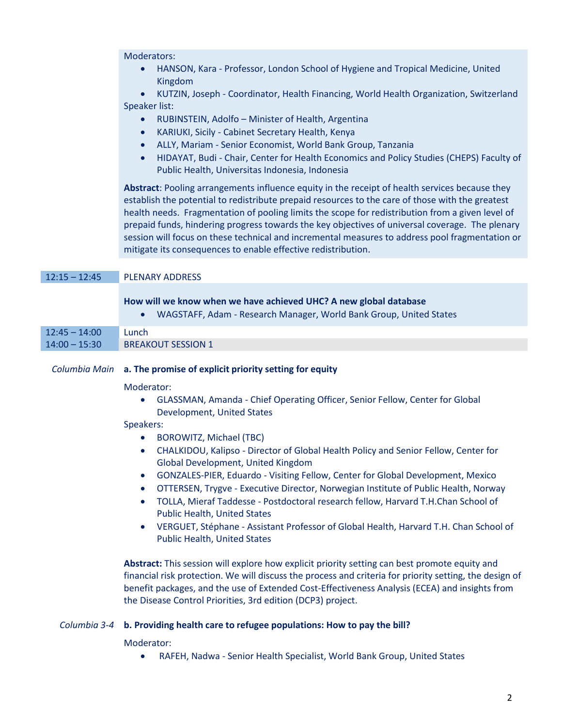# Moderators:

• HANSON, Kara - Professor, London School of Hygiene and Tropical Medicine, United Kingdom

• KUTZIN, Joseph - Coordinator, Health Financing, World Health Organization, Switzerland Speaker list:

- RUBINSTEIN, Adolfo Minister of Health, Argentina
- KARIUKI, Sicily Cabinet Secretary Health, Kenya
- ALLY, Mariam Senior Economist, World Bank Group, Tanzania
- HIDAYAT, Budi Chair, Center for Health Economics and Policy Studies (CHEPS) Faculty of Public Health, Universitas Indonesia, Indonesia

**Abstract**: Pooling arrangements influence equity in the receipt of health services because they establish the potential to redistribute prepaid resources to the care of those with the greatest health needs. Fragmentation of pooling limits the scope for redistribution from a given level of prepaid funds, hindering progress towards the key objectives of universal coverage. The plenary session will focus on these technical and incremental measures to address pool fragmentation or mitigate its consequences to enable effective redistribution.

## 12:15 – 12:45 PLENARY ADDRESS

## **How will we know when we have achieved UHC? A new global database**

• WAGSTAFF, Adam - Research Manager, World Bank Group, United States

| $12:45 - 14:00$ | `Lunch                    |
|-----------------|---------------------------|
| $14:00 - 15:30$ | <b>BREAKOUT SESSION 1</b> |

## *Columbia Main* **a. The promise of explicit priority setting for equity**

#### Moderator:

• GLASSMAN, Amanda - Chief Operating Officer, Senior Fellow, Center for Global Development, United States

## Speakers:

- BOROWITZ, Michael (TBC)
- CHALKIDOU, Kalipso Director of Global Health Policy and Senior Fellow, Center for Global Development, United Kingdom
- GONZALES-PIER, Eduardo Visiting Fellow, Center for Global Development, Mexico
- OTTERSEN, Trygve Executive Director, Norwegian Institute of Public Health, Norway
- TOLLA, Mieraf Taddesse Postdoctoral research fellow, Harvard T.H.Chan School of Public Health, United States
- VERGUET, Stéphane Assistant Professor of Global Health, Harvard T.H. Chan School of Public Health, United States

**Abstract:** This session will explore how explicit priority setting can best promote equity and financial risk protection. We will discuss the process and criteria for priority setting, the design of benefit packages, and the use of Extended Cost-Effectiveness Analysis (ECEA) and insights from the Disease Control Priorities, 3rd edition (DCP3) project.

# *Columbia 3-4* **b. Providing health care to refugee populations: How to pay the bill?**

## Moderator:

• RAFEH, Nadwa - Senior Health Specialist, World Bank Group, United States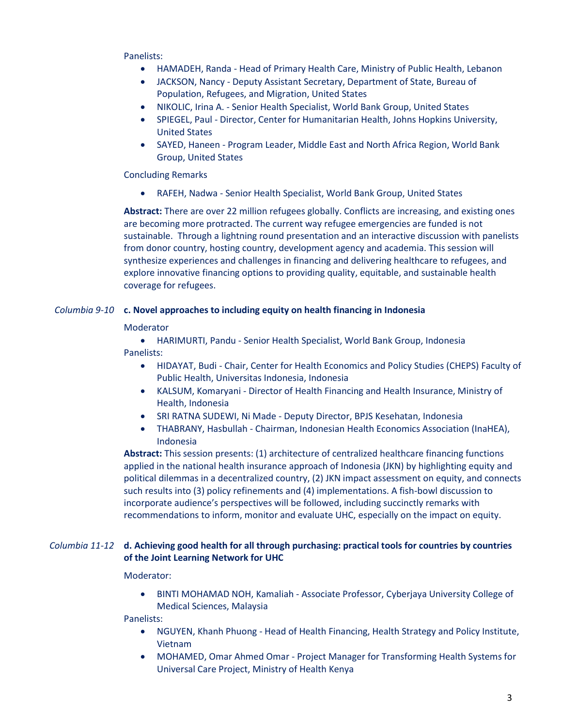Panelists:

- HAMADEH, Randa Head of Primary Health Care, Ministry of Public Health, Lebanon
- JACKSON, Nancy Deputy Assistant Secretary, Department of State, Bureau of Population, Refugees, and Migration, United States
- NIKOLIC, Irina A. Senior Health Specialist, World Bank Group, United States
- SPIEGEL, Paul Director, Center for Humanitarian Health, Johns Hopkins University, United States
- SAYED, Haneen Program Leader, Middle East and North Africa Region, World Bank Group, United States

# Concluding Remarks

• RAFEH, Nadwa - Senior Health Specialist, World Bank Group, United States

**Abstract:** There are over 22 million refugees globally. Conflicts are increasing, and existing ones are becoming more protracted. The current way refugee emergencies are funded is not sustainable. Through a lightning round presentation and an interactive discussion with panelists from donor country, hosting country, development agency and academia. This session will synthesize experiences and challenges in financing and delivering healthcare to refugees, and explore innovative financing options to providing quality, equitable, and sustainable health coverage for refugees.

# *Columbia 9-10* **c. Novel approaches to including equity on health financing in Indonesia**

## Moderator

• HARIMURTI, Pandu - Senior Health Specialist, World Bank Group, Indonesia Panelists:

- HIDAYAT, Budi Chair, Center for Health Economics and Policy Studies (CHEPS) Faculty of Public Health, Universitas Indonesia, Indonesia
- KALSUM, Komaryani Director of Health Financing and Health Insurance, Ministry of Health, Indonesia
- SRI RATNA SUDEWI, Ni Made Deputy Director, BPJS Kesehatan, Indonesia
- THABRANY, Hasbullah Chairman, Indonesian Health Economics Association (InaHEA), Indonesia

**Abstract:** This session presents: (1) architecture of centralized healthcare financing functions applied in the national health insurance approach of Indonesia (JKN) by highlighting equity and political dilemmas in a decentralized country, (2) JKN impact assessment on equity, and connects such results into (3) policy refinements and (4) implementations. A fish-bowl discussion to incorporate audience's perspectives will be followed, including succinctly remarks with recommendations to inform, monitor and evaluate UHC, especially on the impact on equity.

# *Columbia 11-12* **d. Achieving good health for all through purchasing: practical tools for countries by countries of the Joint Learning Network for UHC**

## Moderator:

• BINTI MOHAMAD NOH, Kamaliah - Associate Professor, Cyberjaya University College of Medical Sciences, Malaysia

Panelists:

- NGUYEN, Khanh Phuong Head of Health Financing, Health Strategy and Policy Institute, Vietnam
- MOHAMED, Omar Ahmed Omar Project Manager for Transforming Health Systems for Universal Care Project, Ministry of Health Kenya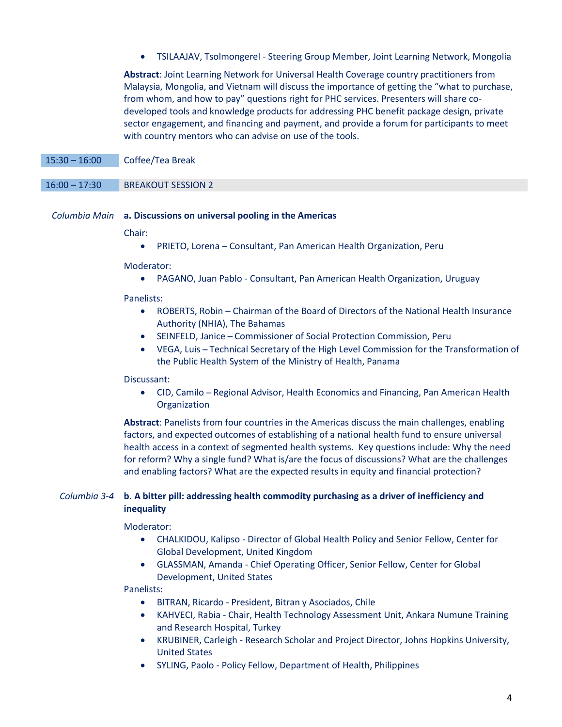• TSILAAJAV, Tsolmongerel - Steering Group Member, Joint Learning Network, Mongolia

**Abstract**: Joint Learning Network for Universal Health Coverage country practitioners from Malaysia, Mongolia, and Vietnam will discuss the importance of getting the "what to purchase, from whom, and how to pay" questions right for PHC services. Presenters will share codeveloped tools and knowledge products for addressing PHC benefit package design, private sector engagement, and financing and payment, and provide a forum for participants to meet with country mentors who can advise on use of the tools.

15:30 – 16:00 Coffee/Tea Break

## 16:00 – 17:30 BREAKOUT SESSION 2

## *Columbia Main* **a. Discussions on universal pooling in the Americas**

Chair:

• PRIETO, Lorena – Consultant, Pan American Health Organization, Peru

Moderator:

• PAGANO, Juan Pablo - Consultant, Pan American Health Organization, Uruguay

Panelists:

- ROBERTS, Robin Chairman of the Board of Directors of the National Health Insurance Authority (NHIA), The Bahamas
- SEINFELD, Janice ̶ Commissioner of Social Protection Commission, Peru
- VEGA, Luis ̶ Technical Secretary of the High Level Commission for the Transformation of the Public Health System of the Ministry of Health, Panama

## Discussant:

• CID, Camilo – Regional Advisor, Health Economics and Financing, Pan American Health **Organization** 

**Abstract**: Panelists from four countries in the Americas discuss the main challenges, enabling factors, and expected outcomes of establishing of a national health fund to ensure universal health access in a context of segmented health systems. Key questions include: Why the need for reform? Why a single fund? What is/are the focus of discussions? What are the challenges and enabling factors? What are the expected results in equity and financial protection?

# *Columbia 3-4* **b. A bitter pill: addressing health commodity purchasing as a driver of inefficiency and inequality**

Moderator:

- CHALKIDOU, Kalipso Director of Global Health Policy and Senior Fellow, Center for Global Development, United Kingdom
- GLASSMAN, Amanda Chief Operating Officer, Senior Fellow, Center for Global Development, United States

Panelists:

- BITRAN, Ricardo President, Bitran y Asociados, Chile
- KAHVECI, Rabia Chair, Health Technology Assessment Unit, Ankara Numune Training and Research Hospital, Turkey
- KRUBINER, Carleigh Research Scholar and Project Director, Johns Hopkins University, United States
- SYLING, Paolo Policy Fellow, Department of Health, Philippines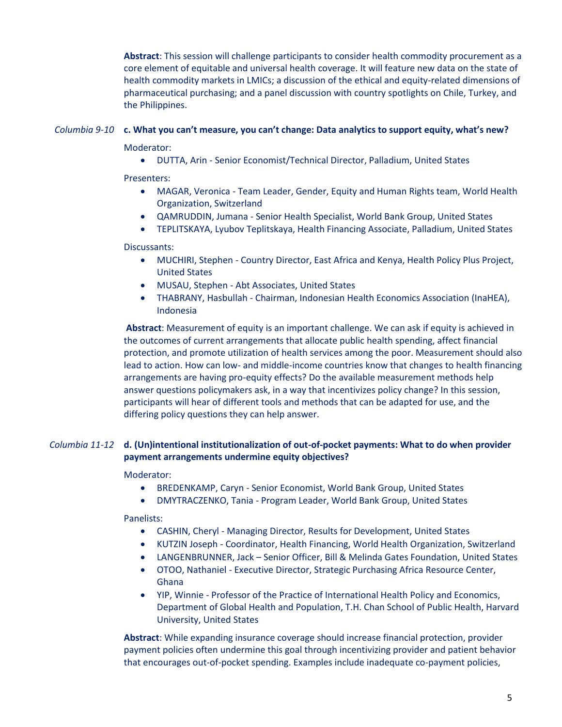**Abstract**: This session will challenge participants to consider health commodity procurement as a core element of equitable and universal health coverage. It will feature new data on the state of health commodity markets in LMICs; a discussion of the ethical and equity-related dimensions of pharmaceutical purchasing; and a panel discussion with country spotlights on Chile, Turkey, and the Philippines.

# *Columbia 9-10* **c. What you can't measure, you can't change: Data analytics to support equity, what's new?**

Moderator:

• DUTTA, Arin - Senior Economist/Technical Director, Palladium, United States

Presenters:

- MAGAR, Veronica Team Leader, Gender, Equity and Human Rights team, World Health Organization, Switzerland
- QAMRUDDIN, Jumana Senior Health Specialist, World Bank Group, United States
- TEPLITSKAYA, Lyubov Teplitskaya, Health Financing Associate, Palladium, United States

## Discussants:

- MUCHIRI, Stephen Country Director, East Africa and Kenya, Health Policy Plus Project, United States
- MUSAU, Stephen Abt Associates, United States
- THABRANY, Hasbullah Chairman, Indonesian Health Economics Association (InaHEA), Indonesia

**Abstract**: Measurement of equity is an important challenge. We can ask if equity is achieved in the outcomes of current arrangements that allocate public health spending, affect financial protection, and promote utilization of health services among the poor. Measurement should also lead to action. How can low- and middle-income countries know that changes to health financing arrangements are having pro-equity effects? Do the available measurement methods help answer questions policymakers ask, in a way that incentivizes policy change? In this session, participants will hear of different tools and methods that can be adapted for use, and the differing policy questions they can help answer.

# *Columbia 11-12* **d. (Un)intentional institutionalization of out-of-pocket payments: What to do when provider payment arrangements undermine equity objectives?**

## Moderator:

- BREDENKAMP, Caryn Senior Economist, World Bank Group, United States
- DMYTRACZENKO, Tania Program Leader, World Bank Group, United States

Panelists:

- CASHIN, Cheryl Managing Director, Results for Development, United States
- KUTZIN Joseph Coordinator, Health Financing, World Health Organization, Switzerland
- LANGENBRUNNER, Jack Senior Officer, Bill & Melinda Gates Foundation, United States
- OTOO, Nathaniel Executive Director, Strategic Purchasing Africa Resource Center, Ghana
- YIP, Winnie Professor of the Practice of International Health Policy and Economics, [Department of Global Health and Population,](https://www.hsph.harvard.edu/global-health-and-population/) T.H. Chan School of Public Health, Harvard University, United States

**Abstract**: While expanding insurance coverage should increase financial protection, provider payment policies often undermine this goal through incentivizing provider and patient behavior that encourages out-of-pocket spending. Examples include inadequate co-payment policies,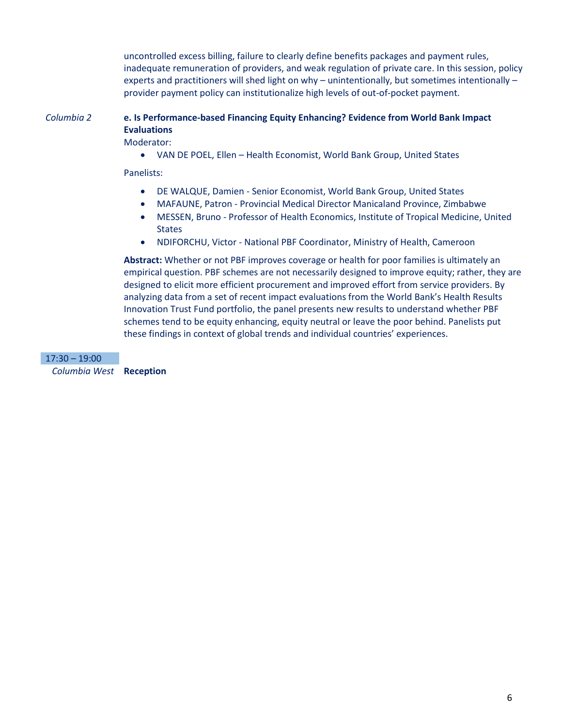uncontrolled excess billing, failure to clearly define benefits packages and payment rules, inadequate remuneration of providers, and weak regulation of private care. In this session, policy experts and practitioners will shed light on why – unintentionally, but sometimes intentionally – provider payment policy can institutionalize high levels of out-of-pocket payment.

# *Columbia 2* **e. Is Performance-based Financing Equity Enhancing? Evidence from World Bank Impact Evaluations**

Moderator:

• VAN DE POEL, Ellen – Health Economist, World Bank Group, United States

Panelists:

- DE WALQUE, Damien Senior Economist, World Bank Group, United States
- MAFAUNE, Patron Provincial Medical Director Manicaland Province, Zimbabwe
- MESSEN, Bruno Professor of Health Economics, Institute of Tropical Medicine, United **States**
- NDIFORCHU, Victor National PBF Coordinator, Ministry of Health, Cameroon

**Abstract:** Whether or not PBF improves coverage or health for poor families is ultimately an empirical question. PBF schemes are not necessarily designed to improve equity; rather, they are designed to elicit more efficient procurement and improved effort from service providers. By analyzing data from a set of recent impact evaluations from the World Bank's Health Results Innovation Trust Fund portfolio, the panel presents new results to understand whether PBF schemes tend to be equity enhancing, equity neutral or leave the poor behind. Panelists put these findings in context of global trends and individual countries' experiences.

17:30 – 19:00 *Columbia West* **Reception**

6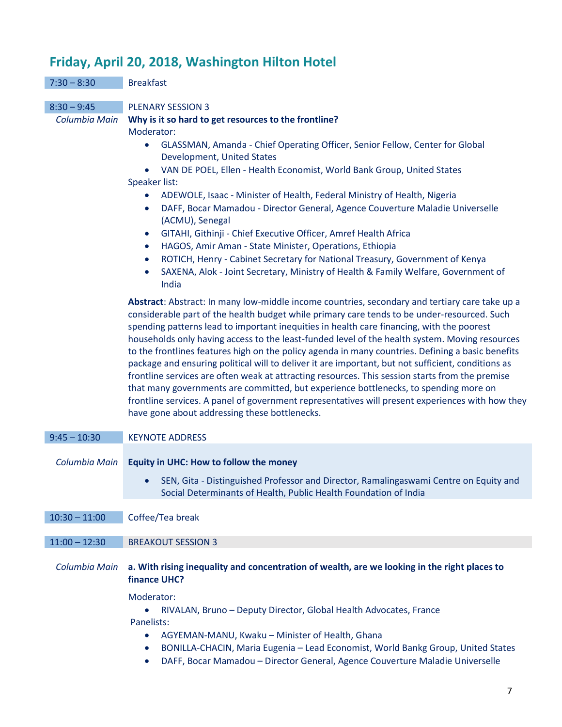# **Friday, April 20, 2018, Washington Hilton Hotel**

|                                | Friday, April 20, 2018, Washington Hilton Hotel                                                                                                                                                                                                                                                                                                                                                                                                                                                                                                                                                                                                                                                                                                                                                                                                                                                                                                         |
|--------------------------------|---------------------------------------------------------------------------------------------------------------------------------------------------------------------------------------------------------------------------------------------------------------------------------------------------------------------------------------------------------------------------------------------------------------------------------------------------------------------------------------------------------------------------------------------------------------------------------------------------------------------------------------------------------------------------------------------------------------------------------------------------------------------------------------------------------------------------------------------------------------------------------------------------------------------------------------------------------|
| $7:30 - 8:30$                  | <b>Breakfast</b>                                                                                                                                                                                                                                                                                                                                                                                                                                                                                                                                                                                                                                                                                                                                                                                                                                                                                                                                        |
| $8:30 - 9:45$<br>Columbia Main | <b>PLENARY SESSION 3</b><br>Why is it so hard to get resources to the frontline?<br>Moderator:<br>GLASSMAN, Amanda - Chief Operating Officer, Senior Fellow, Center for Global<br>$\bullet$<br>Development, United States<br>VAN DE POEL, Ellen - Health Economist, World Bank Group, United States<br>$\bullet$<br>Speaker list:<br>ADEWOLE, Isaac - Minister of Health, Federal Ministry of Health, Nigeria<br>$\bullet$<br>DAFF, Bocar Mamadou - Director General, Agence Couverture Maladie Universelle<br>$\bullet$<br>(ACMU), Senegal<br>GITAHI, Githinji - Chief Executive Officer, Amref Health Africa<br>$\bullet$<br>HAGOS, Amir Aman - State Minister, Operations, Ethiopia<br>$\bullet$<br>ROTICH, Henry - Cabinet Secretary for National Treasury, Government of Kenya<br>$\bullet$<br>SAXENA, Alok - Joint Secretary, Ministry of Health & Family Welfare, Government of<br>$\bullet$<br>India                                            |
|                                | Abstract: Abstract: In many low-middle income countries, secondary and tertiary care take up a<br>considerable part of the health budget while primary care tends to be under-resourced. Such<br>spending patterns lead to important inequities in health care financing, with the poorest<br>households only having access to the least-funded level of the health system. Moving resources<br>to the frontlines features high on the policy agenda in many countries. Defining a basic benefits<br>package and ensuring political will to deliver it are important, but not sufficient, conditions as<br>frontline services are often weak at attracting resources. This session starts from the premise<br>that many governments are committed, but experience bottlenecks, to spending more on<br>frontline services. A panel of government representatives will present experiences with how they<br>have gone about addressing these bottlenecks. |
| $9:45 - 10:30$                 | <b>KEYNOTE ADDRESS</b>                                                                                                                                                                                                                                                                                                                                                                                                                                                                                                                                                                                                                                                                                                                                                                                                                                                                                                                                  |
| Columbia Main                  | Equity in UHC: How to follow the money<br>SEN, Gita - Distinguished Professor and Director, Ramalingaswami Centre on Equity and<br>Social Determinants of Health, Public Health Foundation of India                                                                                                                                                                                                                                                                                                                                                                                                                                                                                                                                                                                                                                                                                                                                                     |
| $10:30 - 11:00$                | Coffee/Tea break                                                                                                                                                                                                                                                                                                                                                                                                                                                                                                                                                                                                                                                                                                                                                                                                                                                                                                                                        |
| $11:00 - 12:30$                | <b>BREAKOUT SESSION 3</b>                                                                                                                                                                                                                                                                                                                                                                                                                                                                                                                                                                                                                                                                                                                                                                                                                                                                                                                               |
| Columbia Main                  | a. With rising inequality and concentration of wealth, are we looking in the right places to<br>finance UHC?                                                                                                                                                                                                                                                                                                                                                                                                                                                                                                                                                                                                                                                                                                                                                                                                                                            |
|                                | Moderator:<br>RIVALAN, Bruno - Deputy Director, Global Health Advocates, France<br>Panelists:<br>AGYEMAN-MANU, Kwaku - Minister of Health, Ghana<br>BONILLA-CHACIN, Maria Eugenia - Lead Economist, World Bankg Group, United States<br>$\bullet$                                                                                                                                                                                                                                                                                                                                                                                                                                                                                                                                                                                                                                                                                                       |

• DAFF, Bocar Mamadou – Director General, Agence Couverture Maladie Universelle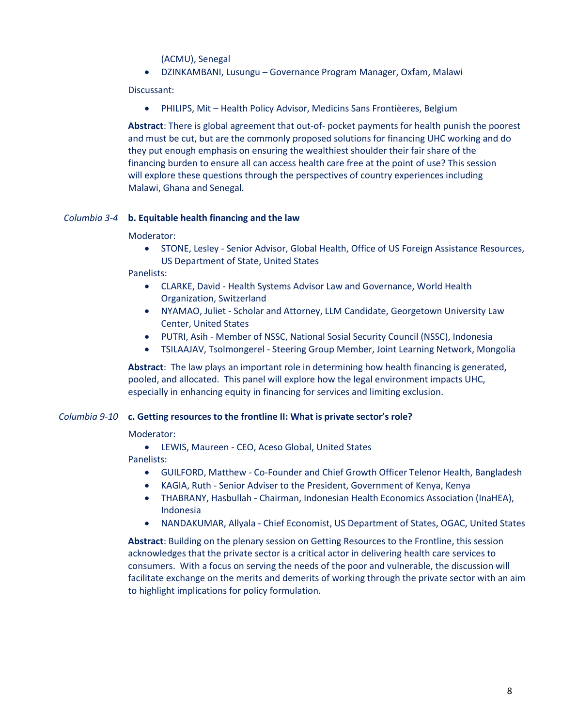(ACMU), Senegal

• DZINKAMBANI, Lusungu – Governance Program Manager, Oxfam, Malawi

Discussant:

• PHILIPS, Mit – Health Policy Advisor, Medicins Sans Frontièeres, Belgium

**Abstract**: There is global agreement that out-of- pocket payments for health punish the poorest and must be cut, but are the commonly proposed solutions for financing UHC working and do they put enough emphasis on ensuring the wealthiest shoulder their fair share of the financing burden to ensure all can access health care free at the point of use? This session will explore these questions through the perspectives of country experiences including Malawi, Ghana and Senegal.

# *Columbia 3-4* **b. Equitable health financing and the law**

## Moderator:

• STONE, Lesley - Senior Advisor, Global Health, Office of US Foreign Assistance Resources, US Department of State, United States

Panelists:

- CLARKE, David Health Systems Advisor Law and Governance, World Health Organization, Switzerland
- NYAMAO, Juliet Scholar and Attorney, LLM Candidate, Georgetown University Law Center, United States
- PUTRI, Asih Member of NSSC, National Sosial Security Council (NSSC), Indonesia
- TSILAAJAV, Tsolmongerel Steering Group Member, Joint Learning Network, Mongolia

**Abstract**: The law plays an important role in determining how health financing is generated, pooled, and allocated. This panel will explore how the legal environment impacts UHC, especially in enhancing equity in financing for services and limiting exclusion.

## *Columbia 9-10* **c. Getting resources to the frontline II: What is private sector's role?**

Moderator:

• LEWIS, Maureen - CEO, Aceso Global, United States

Panelists:

- GUILFORD, Matthew Co-Founder and Chief Growth Officer Telenor Health, Bangladesh
- KAGIA, Ruth Senior Adviser to the President, Government of Kenya, Kenya
- THABRANY, Hasbullah Chairman, Indonesian Health Economics Association (InaHEA), Indonesia
- NANDAKUMAR, Allyala Chief Economist, US Department of States, OGAC, United States

**Abstract**: Building on the plenary session on Getting Resources to the Frontline, this session acknowledges that the private sector is a critical actor in delivering health care services to consumers. With a focus on serving the needs of the poor and vulnerable, the discussion will facilitate exchange on the merits and demerits of working through the private sector with an aim to highlight implications for policy formulation.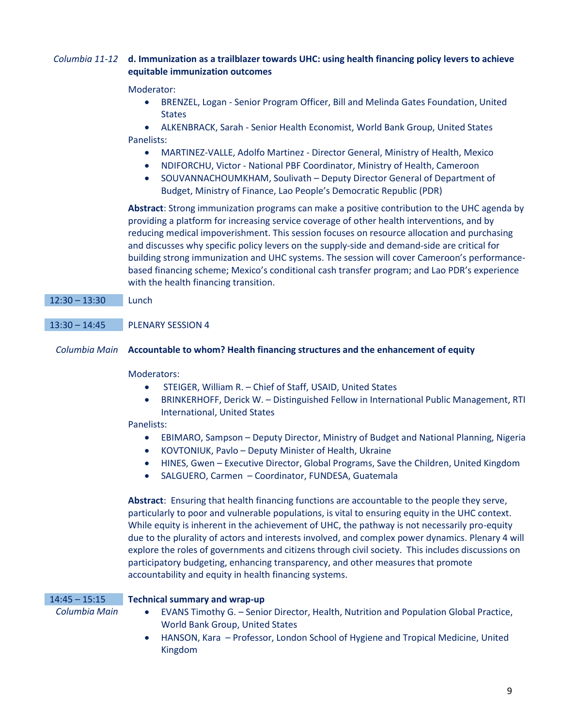# *Columbia 11-12* **d. Immunization as a trailblazer towards UHC: using health financing policy levers to achieve equitable immunization outcomes**

# Moderator:

- BRENZEL, Logan Senior Program Officer, Bill and Melinda Gates Foundation, United **States**
- ALKENBRACK, Sarah Senior Health Economist, World Bank Group, United States Panelists:
	- MARTINEZ-VALLE, Adolfo Martinez Director General, Ministry of Health, Mexico
	- NDIFORCHU, Victor National PBF Coordinator, Ministry of Health, Cameroon
	- SOUVANNACHOUMKHAM, Soulivath Deputy Director General of Department of Budget, Ministry of Finance, Lao People's Democratic Republic (PDR)

**Abstract**: Strong immunization programs can make a positive contribution to the UHC agenda by providing a platform for increasing service coverage of other health interventions, and by reducing medical impoverishment. This session focuses on resource allocation and purchasing and discusses why specific policy levers on the supply-side and demand-side are critical for building strong immunization and UHC systems. The session will cover Cameroon's performancebased financing scheme; Mexico's conditional cash transfer program; and Lao PDR's experience with the health financing transition.

# 12:30 – 13:30 Lunch

# 13:30 – 14:45 PLENARY SESSION 4

# *Columbia Main* **Accountable to whom? Health financing structures and the enhancement of equity**

# Moderators:

- STEIGER, William R. Chief of Staff, USAID, United States
- BRINKERHOFF, Derick W. Distinguished Fellow in International Public Management, RTI International, United States

# Panelists:

- EBIMARO, Sampson Deputy Director, Ministry of Budget and National Planning, Nigeria
- KOVTONIUK, Pavlo Deputy Minister of Health, Ukraine
- HINES, Gwen Executive Director, Global Programs, Save the Children, United Kingdom
- SALGUERO, Carmen Coordinator, FUNDESA, Guatemala

**Abstract**: Ensuring that health financing functions are accountable to the people they serve, particularly to poor and vulnerable populations, is vital to ensuring equity in the UHC context. While equity is inherent in the achievement of UHC, the pathway is not necessarily pro-equity due to the plurality of actors and interests involved, and complex power dynamics. Plenary 4 will explore the roles of governments and citizens through civil society. This includes discussions on participatory budgeting, enhancing transparency, and other measures that promote accountability and equity in health financing systems.

# 14:45 – 15:15 **Technical summary and wrap-up**

- *Columbia Main* EVANS Timothy G. Senior Director, Health, Nutrition and Population Global Practice, World Bank Group, United States
	- HANSON, Kara Professor, London School of Hygiene and Tropical Medicine, United Kingdom